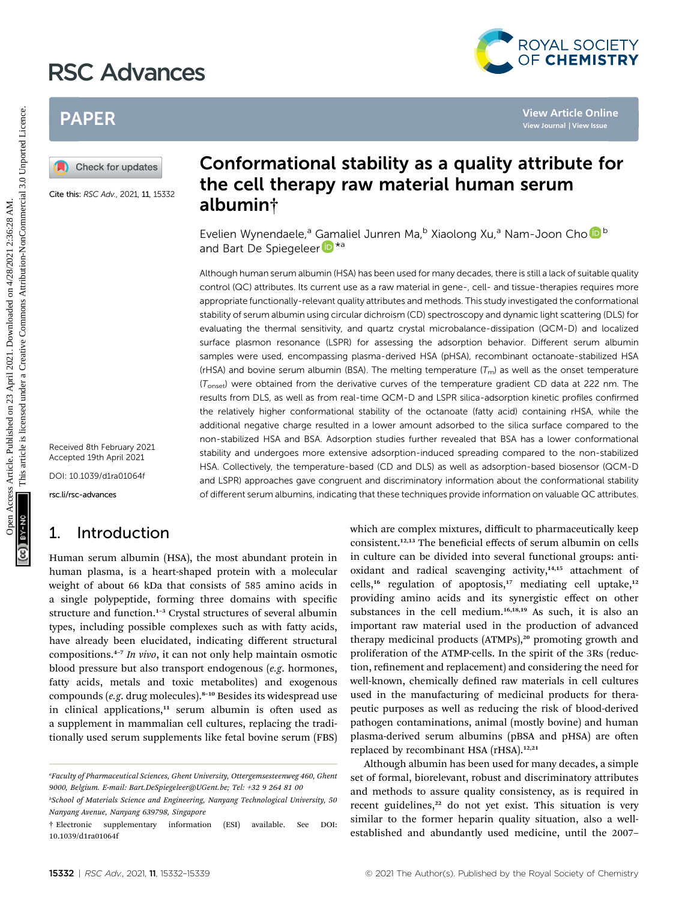# RSC Advances



# PAPER

Cite this: RSC Adv., 2021, 11, 15332

# Conformational stability as a quality attribute for the cell therapy raw material human serum albumin†

Evelien Wynendaele,<sup>a</sup> [Gam](http://orcid.org/0000-0001-6794-3108)aliel Junren Ma,<sup>b</sup> Xiaolong Xu,<sup>a</sup> Nam-Joon Cho D<sup>b</sup> and Bart De Spiegeleer<sup>D\*a</sup>

Although human serum albumin (HSA) has been used for many decades, there is still a lack of suitable quality control (QC) attributes. Its current use as a raw material in gene-, cell- and tissue-therapies requires more appropriate functionally-relevant quality attributes and methods. This study investigated the conformational stability of serum albumin using circular dichroism (CD) spectroscopy and dynamic light scattering (DLS) for evaluating the thermal sensitivity, and quartz crystal microbalance-dissipation (QCM-D) and localized surface plasmon resonance (LSPR) for assessing the adsorption behavior. Different serum albumin samples were used, encompassing plasma-derived HSA (pHSA), recombinant octanoate-stabilized HSA (rHSA) and bovine serum albumin (BSA). The melting temperature  $(T_m)$  as well as the onset temperature  $(T<sub>onset</sub>)$  were obtained from the derivative curves of the temperature gradient CD data at 222 nm. The results from DLS, as well as from real-time QCM-D and LSPR silica-adsorption kinetic profiles confirmed the relatively higher conformational stability of the octanoate (fatty acid) containing rHSA, while the additional negative charge resulted in a lower amount adsorbed to the silica surface compared to the non-stabilized HSA and BSA. Adsorption studies further revealed that BSA has a lower conformational stability and undergoes more extensive adsorption-induced spreading compared to the non-stabilized HSA. Collectively, the temperature-based (CD and DLS) as well as adsorption-based biosensor (QCM-D and LSPR) approaches gave congruent and discriminatory information about the conformational stability of different serum albumins, indicating that these techniques provide information on valuable QC attributes. PAPER<br>
Conformational stability as a quality attribute folling<br>
Conformational stability as a quality attribute formulation of<br>
the cell therapy raw material human serum<br>
albumin†<br>
Evelien Wynendaele, "Gamaliel Juren Ma,"

Received 8th February 2021 Accepted 19th April 2021

DOI: 10.1039/d1ra01064f

rsc.li/rsc-advances

# 1. Introduction

Human serum albumin (HSA), the most abundant protein in human plasma, is a heart-shaped protein with a molecular weight of about 66 kDa that consists of 585 amino acids in a single polypeptide, forming three domains with specific structure and function.<sup>1-3</sup> Crystal structures of several albumin types, including possible complexes such as with fatty acids, have already been elucidated, indicating different structural compositions. $4-7$  *In vivo*, it can not only help maintain osmotic blood pressure but also transport endogenous (e.g. hormones, fatty acids, metals and toxic metabolites) and exogenous compounds (e.g. drug molecules).<sup>8-10</sup> Besides its widespread use in clinical applications, $11$  serum albumin is often used as a supplement in mammalian cell cultures, replacing the traditionally used serum supplements like fetal bovine serum (FBS) which are complex mixtures, difficult to pharmaceutically keep consistent.<sup>12,13</sup> The beneficial effects of serum albumin on cells in culture can be divided into several functional groups: antioxidant and radical scavenging activity,<sup>14,15</sup> attachment of cells,<sup>16</sup> regulation of apoptosis,<sup>17</sup> mediating cell uptake,<sup>12</sup> providing amino acids and its synergistic effect on other substances in the cell medium.<sup>16,18,19</sup> As such, it is also an important raw material used in the production of advanced therapy medicinal products (ATMPs),<sup>20</sup> promoting growth and proliferation of the ATMP-cells. In the spirit of the 3Rs (reduction, refinement and replacement) and considering the need for well-known, chemically defined raw materials in cell cultures used in the manufacturing of medicinal products for therapeutic purposes as well as reducing the risk of blood-derived pathogen contaminations, animal (mostly bovine) and human plasma-derived serum albumins (pBSA and pHSA) are often replaced by recombinant HSA (rHSA).<sup>12,21</sup>

Although albumin has been used for many decades, a simple set of formal, biorelevant, robust and discriminatory attributes and methods to assure quality consistency, as is required in recent guidelines,<sup>22</sup> do not yet exist. This situation is very similar to the former heparin quality situation, also a wellestablished and abundantly used medicine, until the 2007–

a Faculty of Pharmaceutical Sciences, Ghent University, Ottergemsesteenweg 460, Ghent 9000, Belgium. E-mail: Bart.DeSpiegeleer@UGent.be; Tel: +32 9 264 81 00

b School of Materials Science and Engineering, Nanyang Technological University, 50 Nanyang Avenue, Nanyang 639798, Singapore

<sup>†</sup> Electronic supplementary information (ESI) available. See DOI: 10.1039/d1ra01064f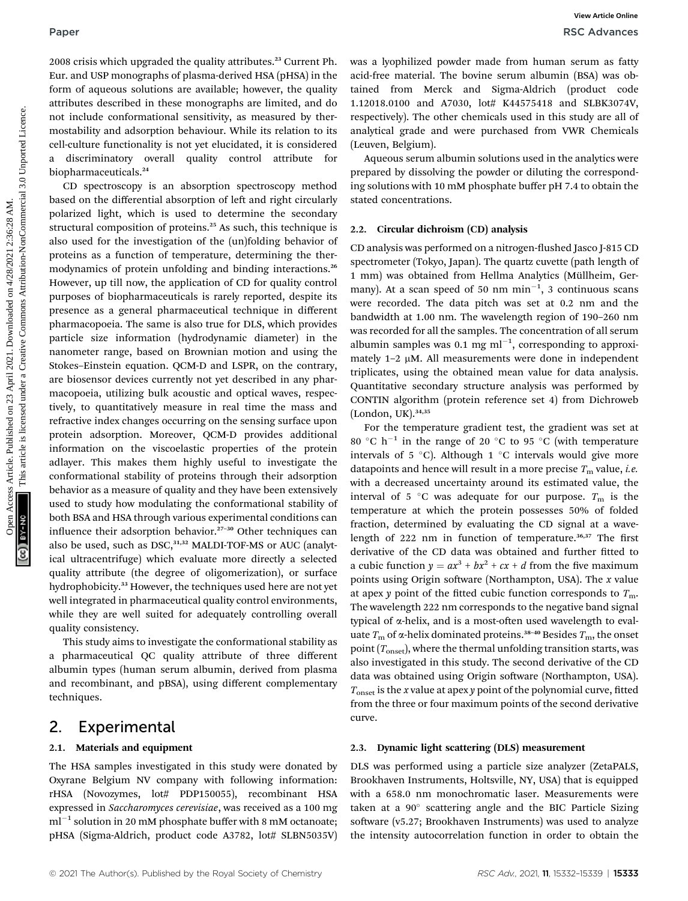2008 crisis which upgraded the quality attributes.<sup>23</sup> Current Ph. Eur. and USP monographs of plasma-derived HSA (pHSA) in the form of aqueous solutions are available; however, the quality attributes described in these monographs are limited, and do not include conformational sensitivity, as measured by thermostability and adsorption behaviour. While its relation to its cell-culture functionality is not yet elucidated, it is considered discriminatory overall quality control attribute biopharmaceuticals.<sup>24</sup>

CD spectroscopy is an absorption spectroscopy method based on the differential absorption of left and right circularly polarized light, which is used to determine the secondary structural composition of proteins.<sup>25</sup> As such, this technique is also used for the investigation of the (un)folding behavior of proteins as a function of temperature, determining the thermodynamics of protein unfolding and binding interactions.<sup>26</sup> However, up till now, the application of CD for quality control purposes of biopharmaceuticals is rarely reported, despite its presence as a general pharmaceutical technique in different pharmacopoeia. The same is also true for DLS, which provides particle size information (hydrodynamic diameter) in the nanometer range, based on Brownian motion and using the Stokes–Einstein equation. QCM-D and LSPR, on the contrary, are biosensor devices currently not yet described in any pharmacopoeia, utilizing bulk acoustic and optical waves, respectively, to quantitatively measure in real time the mass and refractive index changes occurring on the sensing surface upon protein adsorption. Moreover, QCM-D provides additional information on the viscoelastic properties of the protein adlayer. This makes them highly useful to investigate the conformational stability of proteins through their adsorption behavior as a measure of quality and they have been extensively used to study how modulating the conformational stability of both BSA and HSA through various experimental conditions can influence their adsorption behavior. $27-30$  Other techniques can also be used, such as  $DSC$ , $31,32$  MALDI-TOF-MS or AUC (analytical ultracentrifuge) which evaluate more directly a selected quality attribute (the degree of oligomerization), or surface hydrophobicity.<sup>33</sup> However, the techniques used here are not yet well integrated in pharmaceutical quality control environments, while they are well suited for adequately controlling overall quality consistency. Paper<br>
2021 distribution of plasma distribution 2<sup>3</sup> Carticle.<sup>33</sup> Carticle is article is article. The box American Common Common Common Common Common Common Common Common Common Common Common Common Common Common Common C

This study aims to investigate the conformational stability as a pharmaceutical QC quality attribute of three different albumin types (human serum albumin, derived from plasma and recombinant, and pBSA), using different complementary techniques.

## 2. Experimental

## 2.1. Materials and equipment

The HSA samples investigated in this study were donated by Oxyrane Belgium NV company with following information: rHSA (Novozymes, lot# PDP150055), recombinant HSA expressed in Saccharomyces cerevisiae, was received as a 100 mg  $ml^{-1}$  solution in 20 mM phosphate buffer with 8 mM octanoate; pHSA (Sigma-Aldrich, product code A3782, lot# SLBN5035V)

was a lyophilized powder made from human serum as fatty acid-free material. The bovine serum albumin (BSA) was obtained from Merck and Sigma-Aldrich (product code 1.12018.0100 and A7030, lot# K44575418 and SLBK3074V, respectively). The other chemicals used in this study are all of analytical grade and were purchased from VWR Chemicals (Leuven, Belgium).

Aqueous serum albumin solutions used in the analytics were prepared by dissolving the powder or diluting the corresponding solutions with 10 mM phosphate buffer pH 7.4 to obtain the stated concentrations.

### 2.2. Circular dichroism (CD) analysis

CD analysis was performed on a nitrogen-flushed Jasco J-815 CD spectrometer (Tokyo, Japan). The quartz cuvette (path length of 1 mm) was obtained from Hellma Analytics (Müllheim, Germany). At a scan speed of 50 nm  $min^{-1}$ , 3 continuous scans were recorded. The data pitch was set at 0.2 nm and the bandwidth at 1.00 nm. The wavelength region of 190–260 nm was recorded for all the samples. The concentration of all serum albumin samples was 0.1 mg  $ml^{-1}$ , corresponding to approximately  $1-2 \mu M$ . All measurements were done in independent triplicates, using the obtained mean value for data analysis. Quantitative secondary structure analysis was performed by CONTIN algorithm (protein reference set 4) from Dichroweb  $(London, UK).$ <sup>34,35</sup>

For the temperature gradient test, the gradient was set at 80 °C  $h^{-1}$  in the range of 20 °C to 95 °C (with temperature intervals of 5  $^{\circ}$ C). Although 1  $^{\circ}$ C intervals would give more datapoints and hence will result in a more precise  $T<sub>m</sub>$  value, *i.e.* with a decreased uncertainty around its estimated value, the interval of 5 °C was adequate for our purpose.  $T_m$  is the temperature at which the protein possesses 50% of folded fraction, determined by evaluating the CD signal at a wavelength of 222 nm in function of temperature.<sup>36,37</sup> The first derivative of the CD data was obtained and further fitted to a cubic function  $y = ax^3 + bx^2 + cx + d$  from the five maximum points using Origin software (Northampton, USA). The  $x$  value at apex y point of the fitted cubic function corresponds to  $T_{\text{m}}$ . The wavelength 222 nm corresponds to the negative band signal typical of  $\alpha$ -helix, and is a most-often used wavelength to evaluate  $T_{\rm m}$  of  $\alpha$ -helix dominated proteins.<sup>38-40</sup> Besides  $T_{\rm m}$ , the onset point  $(T_{onset})$ , where the thermal unfolding transition starts, was also investigated in this study. The second derivative of the CD data was obtained using Origin software (Northampton, USA).  $T_{\text{onset}}$  is the x value at apex y point of the polynomial curve, fitted from the three or four maximum points of the second derivative curve.

#### 2.3. Dynamic light scattering (DLS) measurement

DLS was performed using a particle size analyzer (ZetaPALS, Brookhaven Instruments, Holtsville, NY, USA) that is equipped with a 658.0 nm monochromatic laser. Measurements were taken at a  $90^\circ$  scattering angle and the BIC Particle Sizing software (v5.27; Brookhaven Instruments) was used to analyze the intensity autocorrelation function in order to obtain the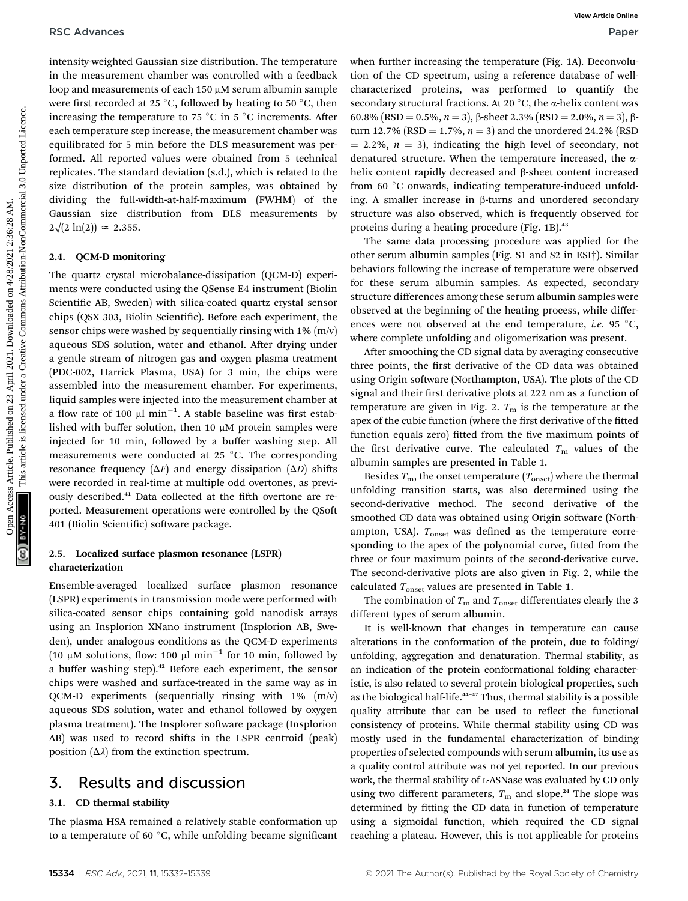intensity-weighted Gaussian size distribution. The temperature in the measurement chamber was controlled with a feedback loop and measurements of each 150 µM serum albumin sample were first recorded at 25 °C, followed by heating to 50 °C, then increasing the temperature to 75  $\degree$ C in 5  $\degree$ C increments. After each temperature step increase, the measurement chamber was equilibrated for 5 min before the DLS measurement was performed. All reported values were obtained from 5 technical replicates. The standard deviation (s.d.), which is related to the size distribution of the protein samples, was obtained by dividing the full-width-at-half-maximum (FWHM) of the Gaussian size distribution from DLS measurements by  $2\sqrt{2 \ln(2)} \approx 2.355$ .

#### 2.4. QCM-D monitoring

The quartz crystal microbalance-dissipation (QCM-D) experiments were conducted using the QSense E4 instrument (Biolin Scientific AB, Sweden) with silica-coated quartz crystal sensor chips (QSX 303, Biolin Scientific). Before each experiment, the sensor chips were washed by sequentially rinsing with  $1\%$  (m/v) aqueous SDS solution, water and ethanol. After drying under a gentle stream of nitrogen gas and oxygen plasma treatment (PDC-002, Harrick Plasma, USA) for 3 min, the chips were assembled into the measurement chamber. For experiments, liquid samples were injected into the measurement chamber at a flow rate of 100  $\mu$ l min<sup>-1</sup>. A stable baseline was first established with buffer solution, then 10  $\mu$ M protein samples were injected for 10 min, followed by a buffer washing step. All measurements were conducted at 25  $^{\circ}$ C. The corresponding resonance frequency ( $\Delta F$ ) and energy dissipation ( $\Delta D$ ) shifts were recorded in real-time at multiple odd overtones, as previously described.<sup>41</sup> Data collected at the fifth overtone are reported. Measurement operations were controlled by the QSo 401 (Biolin Scientific) software package. RSC Advances Article on 23 April 2021. Downloaded on 23 April 2022. This are the content of the common comparison and the common comparison and the creative of the Creative Common Creative Common Creative Common Creative

### 2.5. Localized surface plasmon resonance (LSPR) characterization

Ensemble-averaged localized surface plasmon resonance (LSPR) experiments in transmission mode were performed with silica-coated sensor chips containing gold nanodisk arrays using an Insplorion XNano instrument (Insplorion AB, Sweden), under analogous conditions as the QCM-D experiments (10  $\mu$ M solutions, flow: 100  $\mu$ l min<sup>-1</sup> for 10 min, followed by a buffer washing step).<sup>42</sup> Before each experiment, the sensor chips were washed and surface-treated in the same way as in QCM-D experiments (sequentially rinsing with 1% (m/v) aqueous SDS solution, water and ethanol followed by oxygen plasma treatment). The Insplorer software package (Insplorion AB) was used to record shifts in the LSPR centroid (peak) position  $(\Delta \lambda)$  from the extinction spectrum.

# 3. Results and discussion

### 3.1. CD thermal stability

The plasma HSA remained a relatively stable conformation up to a temperature of 60 $\degree$ C, while unfolding became significant when further increasing the temperature (Fig. 1A). Deconvolution of the CD spectrum, using a reference database of wellcharacterized proteins, was performed to quantify the secondary structural fractions. At 20 $\degree$ C, the  $\alpha$ -helix content was 60.8% (RSD = 0.5%,  $n = 3$ ),  $\beta$ -sheet 2.3% (RSD = 2.0%,  $n = 3$ ),  $\beta$ turn 12.7% (RSD = 1.7%,  $n = 3$ ) and the unordered 24.2% (RSD  $= 2.2\%, n = 3$ , indicating the high level of secondary, not denatured structure. When the temperature increased, the ahelix content rapidly decreased and  $\beta$ -sheet content increased from 60 °C onwards, indicating temperature-induced unfolding. A smaller increase in  $\beta$ -turns and unordered secondary structure was also observed, which is frequently observed for proteins during a heating procedure (Fig. 1B).<sup>43</sup>

The same data processing procedure was applied for the other serum albumin samples (Fig. S1 and S2 in ESI†). Similar behaviors following the increase of temperature were observed for these serum albumin samples. As expected, secondary structure differences among these serum albumin samples were observed at the beginning of the heating process, while differences were not observed at the end temperature, *i.e.* 95  $^{\circ}$ C, where complete unfolding and oligomerization was present.

After smoothing the CD signal data by averaging consecutive three points, the first derivative of the CD data was obtained using Origin software (Northampton, USA). The plots of the CD signal and their first derivative plots at 222 nm as a function of temperature are given in Fig. 2.  $T<sub>m</sub>$  is the temperature at the apex of the cubic function (where the first derivative of the fitted function equals zero) fitted from the five maximum points of the first derivative curve. The calculated  $T<sub>m</sub>$  values of the albumin samples are presented in Table 1.

Besides  $T_{\text{m}}$ , the onset temperature  $(T_{\text{onset}})$  where the thermal unfolding transition starts, was also determined using the second-derivative method. The second derivative of the smoothed CD data was obtained using Origin software (Northampton, USA).  $T_{onset}$  was defined as the temperature corresponding to the apex of the polynomial curve, fitted from the three or four maximum points of the second-derivative curve. The second-derivative plots are also given in Fig. 2, while the calculated  $T_{onset}$  values are presented in Table 1.

The combination of  $T_{\rm m}$  and  $T_{\rm onset}$  differentiates clearly the 3 different types of serum albumin.

It is well-known that changes in temperature can cause alterations in the conformation of the protein, due to folding/ unfolding, aggregation and denaturation. Thermal stability, as an indication of the protein conformational folding characteristic, is also related to several protein biological properties, such as the biological half-life.<sup>44-47</sup> Thus, thermal stability is a possible quality attribute that can be used to reflect the functional consistency of proteins. While thermal stability using CD was mostly used in the fundamental characterization of binding properties of selected compounds with serum albumin, its use as a quality control attribute was not yet reported. In our previous work, the thermal stability of L-ASNase was evaluated by CD only using two different parameters,  $T<sub>m</sub>$  and slope.<sup>24</sup> The slope was determined by fitting the CD data in function of temperature using a sigmoidal function, which required the CD signal reaching a plateau. However, this is not applicable for proteins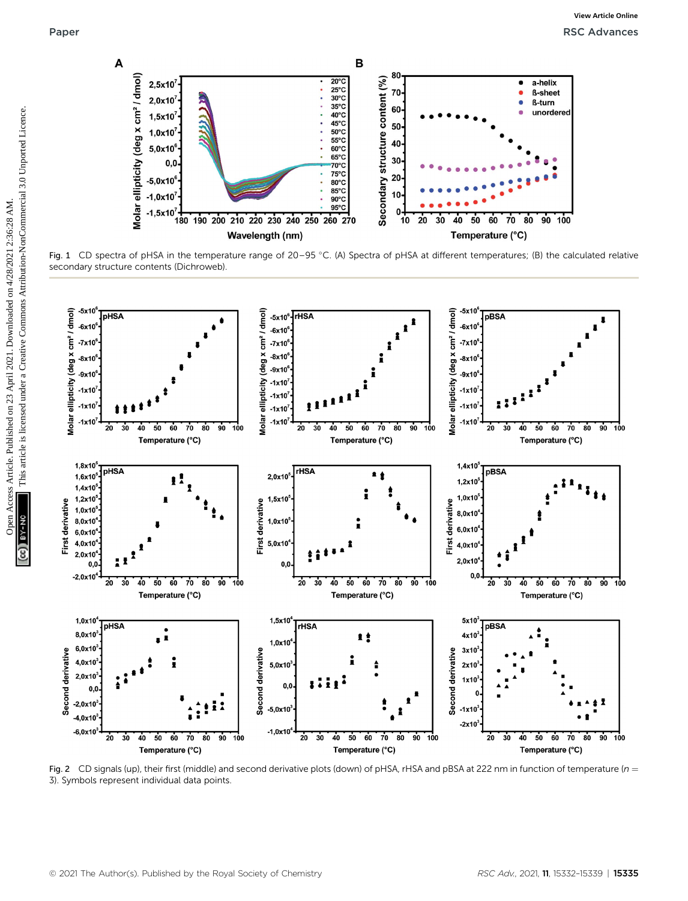

Fig. 1 CD spectra of pHSA in the temperature range of 20–95 °C. (A) Spectra of pHSA at different temperatures; (B) the calculated relative secondary structure contents (Dichroweb).



Fig. 2 CD signals (up), their first (middle) and second derivative plots (down) of pHSA, rHSA and pBSA at 222 nm in function of temperature ( $n =$ 3). Symbols represent individual data points.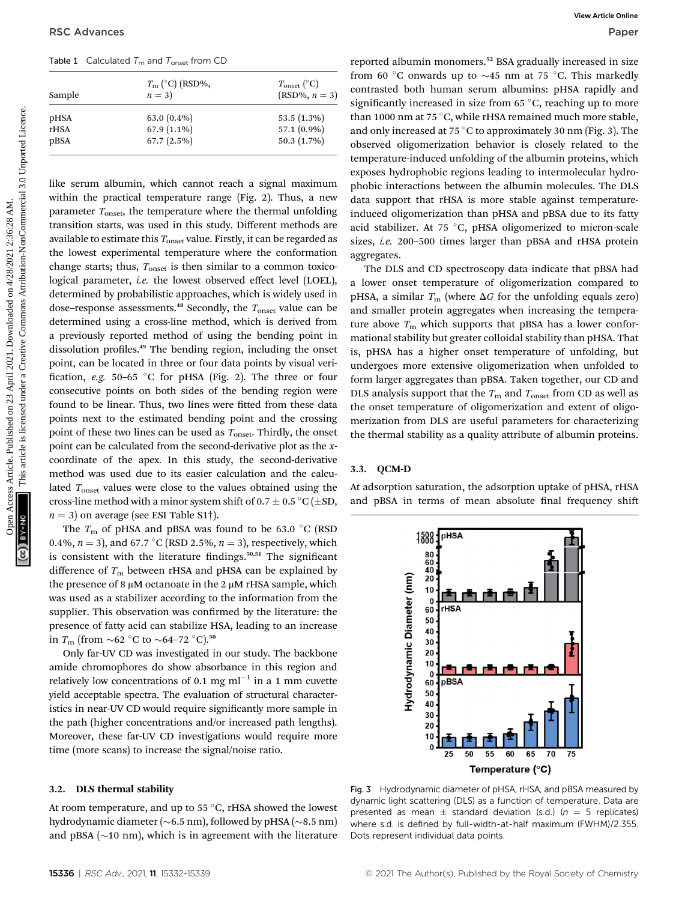Table 1 Calculated  $T_m$  and  $T_{onset}$  from CD

| Sample       | $T_{\rm m}$ (°C) (RSD%,<br>$n=3$ | $T_{\text{onset}}$ (°C)<br>$(RSD\%, n=3)$ |
|--------------|----------------------------------|-------------------------------------------|
| pHSA         | 63.0 $(0.4\%)$                   | $53.5(1.3\%)$                             |
| rHSA<br>pBSA | $67.9(1.1\%)$<br>$67.7(2.5\%)$   | 57.1 (0.9%)<br>50.3 (1.7%)                |
|              |                                  |                                           |

like serum albumin, which cannot reach a signal maximum within the practical temperature range (Fig. 2). Thus, a new parameter  $T_{\text{onset}}$ , the temperature where the thermal unfolding transition starts, was used in this study. Different methods are available to estimate this  $T_{onset}$  value. Firstly, it can be regarded as the lowest experimental temperature where the conformation change starts; thus,  $T_{\text{onset}}$  is then similar to a common toxicological parameter, i.e. the lowest observed effect level (LOEL), determined by probabilistic approaches, which is widely used in dose–response assessments.<sup>48</sup> Secondly, the  $T_{\text{onset}}$  value can be determined using a cross-line method, which is derived from a previously reported method of using the bending point in dissolution profiles.<sup>49</sup> The bending region, including the onset point, can be located in three or four data points by visual veri fication, e.g. 50-65 °C for pHSA (Fig. 2). The three or four consecutive points on both sides of the bending region were found to be linear. Thus, two lines were fitted from these data points next to the estimated bending point and the crossing point of these two lines can be used as  $T_{onset}$ . Thirdly, the onset point can be calculated from the second-derivative plot as the xcoordinate of the apex. In this study, the second-derivative method was used due to its easier calculation and the calculated  $T_{\text{onset}}$  values were close to the values obtained using the cross-line method with a minor system shift of 0.7  $\pm$  0.5 °C ( $\pm$ SD,  $n = 3$ ) on average (see ESI Table S1†). **PSC Actioneses**<br>
Table 1 Calculates T. articl<sup>2</sup> (Fig.1979),<br>  $\pi_{\text{min}}(C)$  (Fig.1979),<br>  $\pi_{\text{min}}(C)$  (Fig.1979),<br>  $\pi_{\text{min}}(C)$  (Fig.1979),<br>  $\pi_{\text{min}}(C)$  (Fig.1979) and (Fig.1979) distribution-Noncommercial case of 2.

The  $T_{\rm m}$  of pHSA and pBSA was found to be 63.0 °C (RSD 0.4%,  $n = 3$ ), and 67.7 °C (RSD 2.5%,  $n = 3$ ), respectively, which is consistent with the literature findings. $50,51$  The significant difference of  $T_m$  between rHSA and pHSA can be explained by the presence of 8  $\mu$ M octanoate in the 2  $\mu$ M rHSA sample, which was used as a stabilizer according to the information from the supplier. This observation was confirmed by the literature: the presence of fatty acid can stabilize HSA, leading to an increase in  $T_{\text{m}}$  (from  $\sim$ 62 °C to  $\sim$ 64–72 °C).<sup>50</sup>

Only far-UV CD was investigated in our study. The backbone amide chromophores do show absorbance in this region and relatively low concentrations of 0.1 mg  $ml^{-1}$  in a 1 mm cuvette yield acceptable spectra. The evaluation of structural characteristics in near-UV CD would require significantly more sample in the path (higher concentrations and/or increased path lengths). Moreover, these far-UV CD investigations would require more time (more scans) to increase the signal/noise ratio.

#### 3.2. DLS thermal stability

At room temperature, and up to 55  $\degree$ C, rHSA showed the lowest hydrodynamic diameter ( $\sim$ 6.5 nm), followed by pHSA ( $\sim$ 8.5 nm) and pBSA ( $\sim$ 10 nm), which is in agreement with the literature

reported albumin monomers.<sup>52</sup> BSA gradually increased in size from 60 °C onwards up to  $\sim$ 45 nm at 75 °C. This markedly contrasted both human serum albumins: pHSA rapidly and significantly increased in size from 65 $\degree$ C, reaching up to more than 1000 nm at 75 °C, while rHSA remained much more stable, and only increased at 75 °C to approximately 30 nm (Fig. 3). The observed oligomerization behavior is closely related to the temperature-induced unfolding of the albumin proteins, which exposes hydrophobic regions leading to intermolecular hydrophobic interactions between the albumin molecules. The DLS data support that rHSA is more stable against temperatureinduced oligomerization than pHSA and pBSA due to its fatty acid stabilizer. At 75  $\degree$ C, pHSA oligomerized to micron-scale sizes, i.e. 200–500 times larger than pBSA and rHSA protein aggregates.

The DLS and CD spectroscopy data indicate that pBSA had a lower onset temperature of oligomerization compared to pHSA, a similar  $T_m$  (where  $\Delta G$  for the unfolding equals zero) and smaller protein aggregates when increasing the temperature above  $T<sub>m</sub>$  which supports that pBSA has a lower conformational stability but greater colloidal stability than pHSA. That is, pHSA has a higher onset temperature of unfolding, but undergoes more extensive oligomerization when unfolded to form larger aggregates than pBSA. Taken together, our CD and DLS analysis support that the  $T_{\text{m}}$  and  $T_{\text{onset}}$  from CD as well as the onset temperature of oligomerization and extent of oligomerization from DLS are useful parameters for characterizing the thermal stability as a quality attribute of albumin proteins.

#### 3.3. QCM-D

At adsorption saturation, the adsorption uptake of pHSA, rHSA and pBSA in terms of mean absolute final frequency shift



Fig. 3 Hydrodynamic diameter of pHSA, rHSA, and pBSA measured by dynamic light scattering (DLS) as a function of temperature. Data are presented as mean  $\pm$  standard deviation (s.d.) (n = 5 replicates) where s.d. is defined by full-width-at-half maximum (FWHM)/2.355. Dots represent individual data points.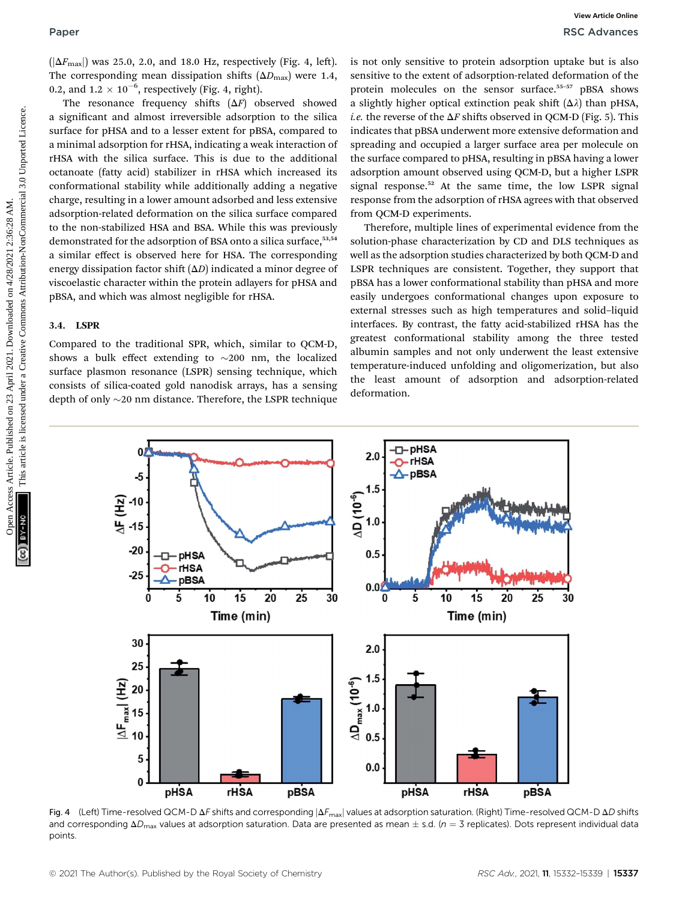$(|\Delta F_{\text{max}}|)$  was 25.0, 2.0, and 18.0 Hz, respectively (Fig. 4, left). The corresponding mean dissipation shifts  $(\Delta D_{\text{max}})$  were 1.4, 0.2, and  $1.2 \times 10^{-6}$ , respectively (Fig. 4, right).

The resonance frequency shifts  $(\Delta F)$  observed showed a significant and almost irreversible adsorption to the silica surface for pHSA and to a lesser extent for pBSA, compared to a minimal adsorption for rHSA, indicating a weak interaction of rHSA with the silica surface. This is due to the additional octanoate (fatty acid) stabilizer in rHSA which increased its conformational stability while additionally adding a negative charge, resulting in a lower amount adsorbed and less extensive adsorption-related deformation on the silica surface compared to the non-stabilized HSA and BSA. While this was previously demonstrated for the adsorption of BSA onto a silica surface,<sup>53,54</sup> a similar effect is observed here for HSA. The corresponding energy dissipation factor shift  $(\Delta D)$  indicated a minor degree of viscoelastic character within the protein adlayers for pHSA and pBSA, and which was almost negligible for rHSA. Paper<br>  $\frac{1}{2}$  April 2021. And the Compact of Commons (Equation April 2021, 2021) and the Commons Article is license and the second of Creative Commons Article. The common Common Common Common Common Common Common Commo

## 3.4. LSPR

Compared to the traditional SPR, which, similar to QCM-D, shows a bulk effect extending to  $\sim$ 200 nm, the localized surface plasmon resonance (LSPR) sensing technique, which consists of silica-coated gold nanodisk arrays, has a sensing depth of only  $\sim$ 20 nm distance. Therefore, the LSPR technique is not only sensitive to protein adsorption uptake but is also sensitive to the extent of adsorption-related deformation of the protein molecules on the sensor surface.<sup>55-57</sup> pBSA shows a slightly higher optical extinction peak shift  $(\Delta \lambda)$  than pHSA, *i.e.* the reverse of the  $\Delta F$  shifts observed in QCM-D (Fig. 5). This indicates that pBSA underwent more extensive deformation and spreading and occupied a larger surface area per molecule on the surface compared to pHSA, resulting in pBSA having a lower adsorption amount observed using QCM-D, but a higher LSPR signal response.<sup>52</sup> At the same time, the low LSPR signal response from the adsorption of rHSA agrees with that observed from QCM-D experiments.

Therefore, multiple lines of experimental evidence from the solution-phase characterization by CD and DLS techniques as well as the adsorption studies characterized by both QCM-D and LSPR techniques are consistent. Together, they support that pBSA has a lower conformational stability than pHSA and more easily undergoes conformational changes upon exposure to external stresses such as high temperatures and solid–liquid interfaces. By contrast, the fatty acid-stabilized rHSA has the greatest conformational stability among the three tested albumin samples and not only underwent the least extensive temperature-induced unfolding and oligomerization, but also the least amount of adsorption and adsorption-related deformation.



Fig. 4 (Left) Time-resolved QCM-D  $\Delta F$  shifts and corresponding  $|\Delta F_{\text{max}}|$  values at adsorption saturation. (Right) Time-resolved QCM-D  $\Delta D$  shifts and corresponding  $\Delta D_{\text{max}}$  values at adsorption saturation. Data are presented as mean  $\pm$  s.d. (n = 3 replicates). Dots represent individual data points.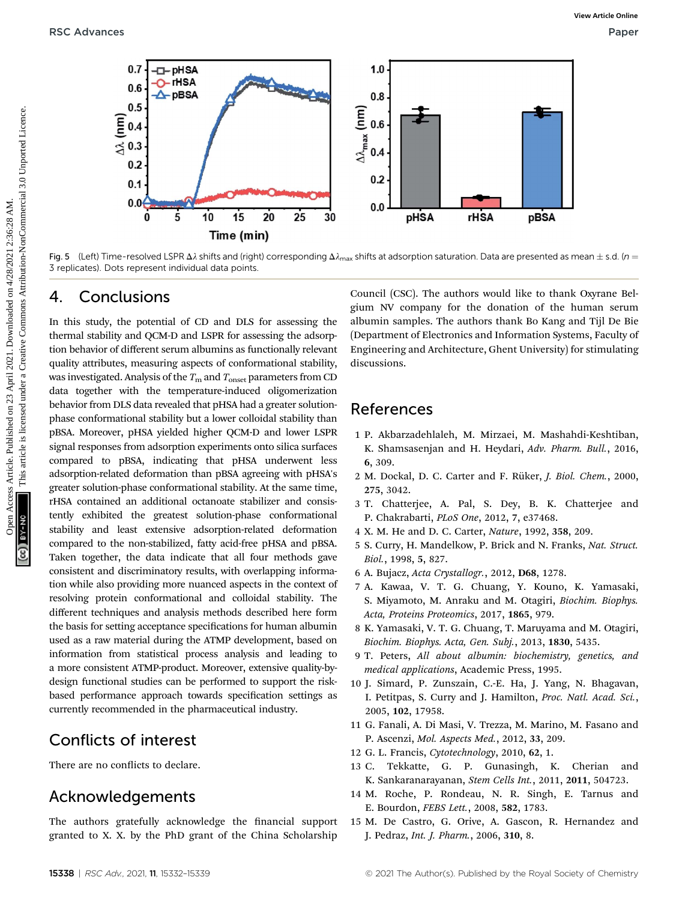

Fig. 5 (Left) Time-resolved LSPR  $\Delta\lambda$  shifts and (right) corresponding  $\Delta\lambda_{\text{max}}$  shifts at adsorption saturation. Data are presented as mean  $\pm$  s.d. (n = 3 replicates). Dots represent individual data points.

# 4. Conclusions

In this study, the potential of CD and DLS for assessing the thermal stability and QCM-D and LSPR for assessing the adsorption behavior of different serum albumins as functionally relevant quality attributes, measuring aspects of conformational stability, was investigated. Analysis of the  $T_{\rm m}$  and  $T_{\rm onset}$  parameters from CD data together with the temperature-induced oligomerization behavior from DLS data revealed that pHSA had a greater solutionphase conformational stability but a lower colloidal stability than pBSA. Moreover, pHSA yielded higher QCM-D and lower LSPR signal responses from adsorption experiments onto silica surfaces compared to pBSA, indicating that pHSA underwent less adsorption-related deformation than pBSA agreeing with pHSA's greater solution-phase conformational stability. At the same time, rHSA contained an additional octanoate stabilizer and consistently exhibited the greatest solution-phase conformational stability and least extensive adsorption-related deformation compared to the non-stabilized, fatty acid-free pHSA and pBSA. Taken together, the data indicate that all four methods gave consistent and discriminatory results, with overlapping information while also providing more nuanced aspects in the context of resolving protein conformational and colloidal stability. The different techniques and analysis methods described here form the basis for setting acceptance specifications for human albumin used as a raw material during the ATMP development, based on information from statistical process analysis and leading to a more consistent ATMP-product. Moreover, extensive quality-bydesign functional studies can be performed to support the riskbased performance approach towards specification settings as currently recommended in the pharmaceutical industry.

# Conflicts of interest

There are no conflicts to declare.

# Acknowledgements

The authors gratefully acknowledge the financial support granted to X. X. by the PhD grant of the China Scholarship

Council (CSC). The authors would like to thank Oxyrane Belgium NV company for the donation of the human serum albumin samples. The authors thank Bo Kang and Tijl De Bie (Department of Electronics and Information Systems, Faculty of Engineering and Architecture, Ghent University) for stimulating discussions.

# References

- 1 P. Akbarzadehlaleh, M. Mirzaei, M. Mashahdi-Keshtiban, K. Shamsasenjan and H. Heydari, Adv. Pharm. Bull., 2016, 6, 309.
- 2 M. Dockal, D. C. Carter and F. Rüker, J. Biol. Chem., 2000, 275, 3042.
- 3 T. Chatterjee, A. Pal, S. Dey, B. K. Chatterjee and P. Chakrabarti, PLoS One, 2012, 7, e37468.
- 4 X. M. He and D. C. Carter, Nature, 1992, 358, 209.
- 5 S. Curry, H. Mandelkow, P. Brick and N. Franks, Nat. Struct. Biol., 1998, 5, 827.
- 6 A. Bujacz, Acta Crystallogr., 2012, D68, 1278.
- 7 A. Kawaa, V. T. G. Chuang, Y. Kouno, K. Yamasaki, S. Miyamoto, M. Anraku and M. Otagiri, Biochim. Biophys. Acta, Proteins Proteomics, 2017, 1865, 979.
- 8 K. Yamasaki, V. T. G. Chuang, T. Maruyama and M. Otagiri, Biochim. Biophys. Acta, Gen. Subj., 2013, 1830, 5435.
- 9 T. Peters, All about albumin: biochemistry, genetics, and medical applications, Academic Press, 1995.
- 10 J. Simard, P. Zunszain, C.-E. Ha, J. Yang, N. Bhagavan, I. Petitpas, S. Curry and J. Hamilton, Proc. Natl. Acad. Sci., 2005, 102, 17958.
- 11 G. Fanali, A. Di Masi, V. Trezza, M. Marino, M. Fasano and P. Ascenzi, Mol. Aspects Med., 2012, 33, 209.
- 12 G. L. Francis, Cytotechnology, 2010, 62, 1.
- 13 C. Tekkatte, G. P. Gunasingh, K. Cherian and K. Sankaranarayanan, Stem Cells Int., 2011, 2011, 504723.
- 14 M. Roche, P. Rondeau, N. R. Singh, E. Tarnus and E. Bourdon, FEBS Lett., 2008, 582, 1783.
- 15 M. De Castro, G. Orive, A. Gascon, R. Hernandez and J. Pedraz, Int. J. Pharm., 2006, 310, 8.